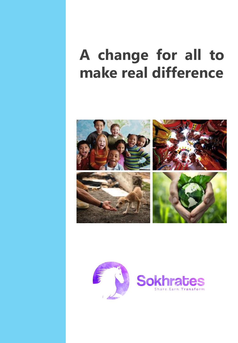# **A change for all to make real difference**



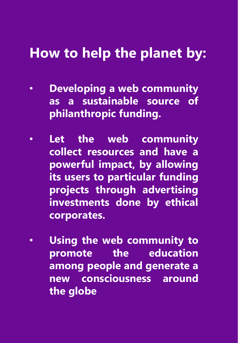# **How to help the planet by:**

- **Developing a web community as a sustainable source of philanthropic funding.**
- **Let the web community collect resources and have a powerful impact, by allowing its users to particular funding projects through advertising investments done by ethical corporates.**
- **Using the web community to promote the education among people and generate a new consciousness around the globe**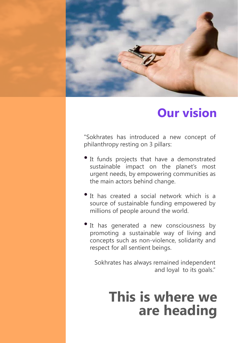

### **Our vision**

"Sokhrates has introduced a new concept of philanthropy resting on 3 pillars:

- It funds projects that have <sup>a</sup> demonstrated sustainable impact on the planet's most urgent needs, by empowering communities as the main actors behind change.
- It has created a social network which is a source of sustainable funding empowered by millions of people around the world.
- It has generated a new consciousness by promoting a sustainable way of living and concepts such as non-violence, solidarity and respect for all sentient beings.

Sokhrates has always remained independent and loyal to its goals."

## **This is where we are heading**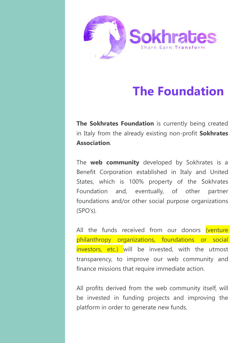

## **The Foundation**

**The Sokhrates Foundation** is currently being created in Italy from the already existing non-profit **Sokhrates Association**.

The **web community** developed by Sokhrates is a Benefit Corporation established in Italy and United States, which is 100% property of the Sokhrates Foundation and, eventually, of other partner foundations and/or other social purpose organizations (SPO's).

All the funds received from our donors (venture philanthropy organizations, foundations or social investors, etc.) will be invested, with the utmost transparency, to improve our web community and finance missions that require immediate action.

All profits derived from the web community itself, will be invested in funding projects and improving the platform in order to generate new funds.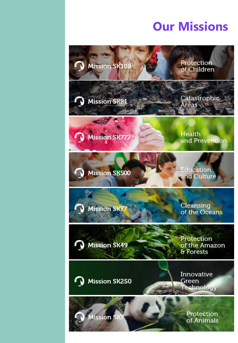### **Our Missions**

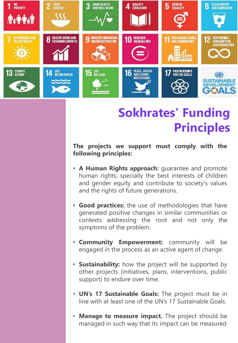

## **Sokhrates' Funding Principles**

**The projects we support must comply with the following principles:**

- **A Human Rights approach:** guarantee and promote human rights, specially the best interests of children and gender equity and contribute to society's values and the rights of future generations.
- **Good practices:** the use of methodologies that have generated positive changes in similar communities or contexts addressing the root and not only the symptoms of the problem.
- **Community Empowerment:** community will be engaged in the process as an active agent of change.
- **Sustainability:** how the project will be supported by other projects (initiatives, plans, interventions, public support) to endure over time.
- **UN's 17 Sustainable Goals:** The project must be in line with at least one of the UN's 17 Sustainable Goals.
- **Manage to measure impact.** The project should be managed in such way that its impact can be measured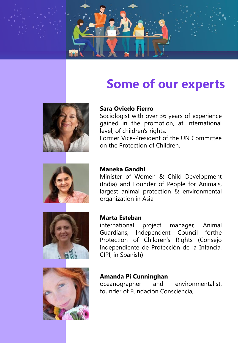

### **Some of our experts**



#### **Sara Oviedo Fierro**

Sociologist with over 36 years of experience gained in the promotion, at international level, of children's rights.

Former Vice-President of the UN Committee on the Protection of Children.



#### **Maneka Gandhi**

Minister of Women & Child Development (India) and Founder of People for Animals, largest animal protection & environmental organization in Asia



#### **Marta Esteban**

international project manager, Animal Guardians, Independent Council forthe Protection of Children's Rights (Consejo Independiente de Protección de la Infancia, CIPI, in Spanish)



#### **Amanda Pi Cunninghan**

oceanographer and environmentalist; founder of Fundación Consciencia,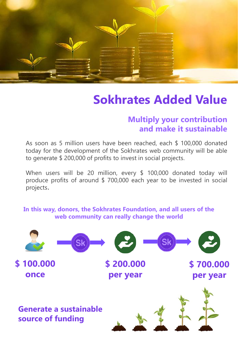

### **Sokhrates Added Value**

#### **Multiply your contribution and make it sustainable**

As soon as 5 million users have been reached, each \$ 100,000 donated today for the development of the Sokhrates web community will be able to generate \$ 200,000 of profits to invest in social projects.

When users will be 20 million, every \$ 100,000 donated today will produce profits of around \$ 700,000 each year to be invested in social projects.

#### **In this way, donors, the Sokhrates Foundation, and all users of the web community can really change the world**

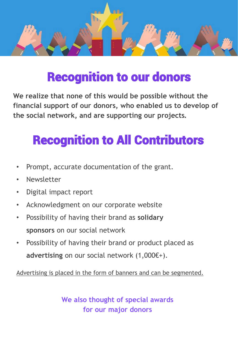

## Recognition to our donors

**We realize that none of this would be possible without the financial support of our donors, who enabled us to develop of the social network, and are supporting our projects.**

# Recognition to All Contributors

- Prompt, accurate documentation of the grant.
- **Newsletter**
- Digital impact report
- Acknowledgment on our corporate website
- Possibility of having their brand as **solidary sponsors** on our social network
- Possibility of having their brand or product placed as **advertising** on our social network (1,000€+).

Advertising is placed in the form of banners and can be segmented.

**We also thought of special awards for our major donors**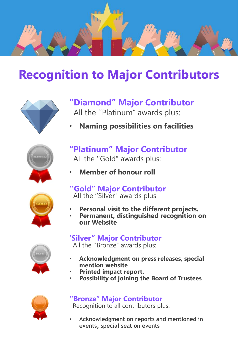

### **Recognition to Major Contributors**



#### **''Diamond'' Major Contributor** All the ''Platinum'' awards plus:

• **Naming possibilities on facilities**



- **"Platinum'' Major Contributor**
	- All the ''Gold'' awards plus:
- **Member of honour roll**



- **''Gold'' Major Contributor** All the ''Silver'' awards plus:
- **Personal visit to the different projects.**
- **Permanent, distinguished recognition on our Website**

#### **'Silver'' Major Contributor**

All the ''Bronze'' awards plus:

- **Acknowledgment on press releases, special mention website**
	- **Printed impact report.**
	- **Possibility of joining the Board of Trustees**



### **''Bronze'' Major Contributor**

Recognition to all contributors plus:

• **Acknowledgment on reports and mentioned in events, special seat on events**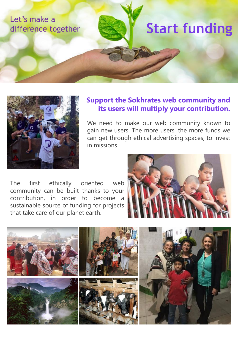



#### **Support the Sokhrates web community and its users will multiply your contribution.**

We need to make our web community known to gain new users. The more users, the more funds we can get through ethical advertising spaces, to invest in missions

The first ethically oriented web community can be built thanks to your contribution, in order to become a sustainable source of funding for projects that take care of our planet earth.